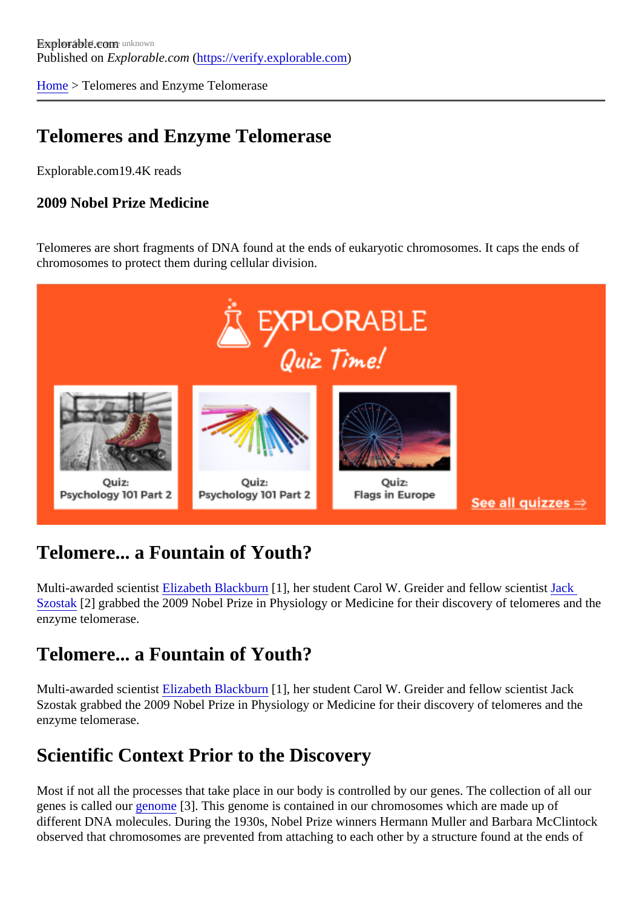[Home](https://verify.explorable.com/) > Telomeres and Enzyme Telomerase

## Telomeres and Enzyme Telomerase

Explorable.com19.4K reads

2009 Nobel Prize Medicine

Telomeres are short fragments of DNA found at the ends of eukaryotic chromosomes. It caps the ends of chromosomes to protect them during cellular division.

## Telomere... a Fountain of Youth?

Multi-awarded scienti[st Elizabeth Blackbur](http://biochemistry.ucsf.edu/labs/blackburn/index.php?option=com_content&view=article&id=1&Itemid=3)n[1], her student Carol W. Greider and fellow scientistk [Szostak](http://www.hhmi.org/research/investigators/szostak_bio)[2] grabbed the 2009 Nobel Prize in Physiology or Medicine for their discovery of telomeres and the enzyme telomerase.

### Telomere... a Fountain of Youth?

Multi-awarded scientis Elizabeth Blackburn<sup>[1]</sup>, her student Carol W. Greider and fellow scientist Jack Szostak grabbed the 2009 Nobel Prize in Physiology or Medicine for their discovery of telomeres and the enzyme telomerase.

## Scientific Context Prior to the Discovery

Most if not all the processes that take place in our body is controlled by our genes. The collection of all our genes is called our enome [3]. This genome is contained in our chromosomes which are made up of different DNA molecules. During the 1930s, Nobel Prize winners Hermann Muller and Barbara McClintock observed that chromosomes are prevented from attaching to each other by a structure found at the ends of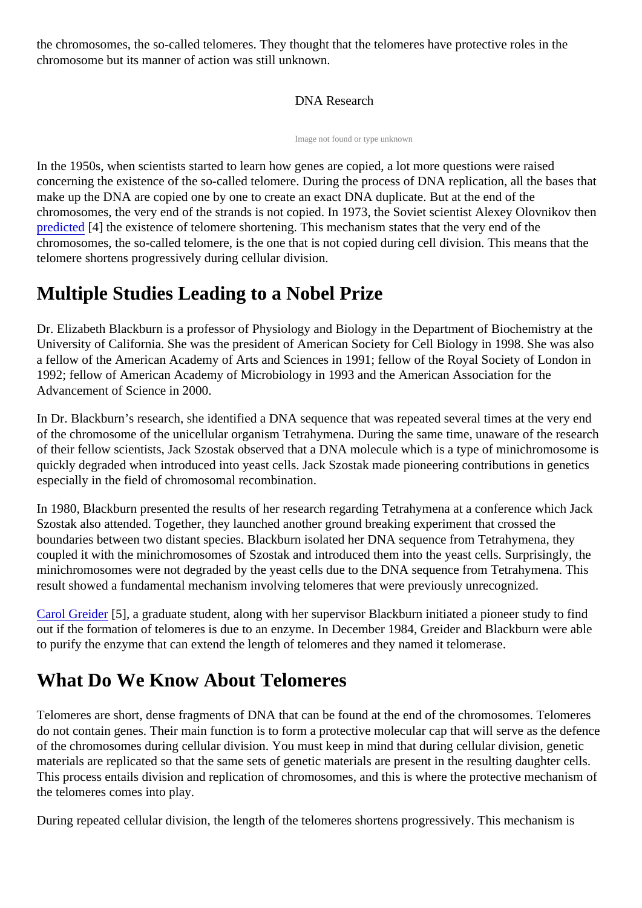the chromosomes, the so-called telomeres. They thought that the telomeres have protective roles in the chromosome but its manner of action was still unknown.

#### DNA Research

Image not found or type unknown

In the 1950s, when scientists started to learn how genes are copied, a lot more questions were raised concerning the existence of the so-called telomere. During the process of DNA replication, all the bases that make up the DNA are copied one by one to create an exact DNA duplicate. But at the end of the chromosomes, the very end of the strands is not copied. In 1973, the Soviet scientist Alexey Olovnikov the [predicted](https://verify.explorable.com/prediction-in-research)<sup>[4]</sup> the existence of telomere shortening. This mechanism states that the very end of the chromosomes, the so-called telomere, is the one that is not copied during cell division. This means that the telomere shortens progressively during cellular division.

## Multiple Studies Leading to a Nobel Prize

Dr. Elizabeth Blackburn is a professor of Physiology and Biology in the Department of Biochemistry at the University of California. She was the president of American Society for Cell Biology in 1998. She was also a fellow of the American Academy of Arts and Sciences in 1991; fellow of the Royal Society of London in 1992; fellow of American Academy of Microbiology in 1993 and the American Association for the Advancement of Science in 2000.

In Dr. Blackburn's research, she identified a DNA sequence that was repeated several times at the very en of the chromosome of the unicellular organism Tetrahymena. During the same time, unaware of the resear of their fellow scientists, Jack Szostak observed that a DNA molecule which is a type of minichromosome is quickly degraded when introduced into yeast cells. Jack Szostak made pioneering contributions in genetics especially in the field of chromosomal recombination.

In 1980, Blackburn presented the results of her research regarding Tetrahymena at a conference which Jack Szostak also attended. Together, they launched another ground breaking experiment that crossed the boundaries between two distant species. Blackburn isolated her DNA sequence from Tetrahymena, they coupled it with the minichromosomes of Szostak and introduced them into the yeast cells. Surprisingly, the minichromosomes were not degraded by the yeast cells due to the DNA sequence from Tetrahymena. This result showed a fundamental mechanism involving telomeres that were previously unrecognized.

[Carol Greide](http://www.pnas.org/content/102/23/8077.full)r<sup>[5]</sup>, a graduate student, along with her supervisor Blackburn initiated a pioneer study to find out if the formation of telomeres is due to an enzyme. In December 1984, Greider and Blackburn were abl to purify the enzyme that can extend the length of telomeres and they named it telomerase.

# What Do We Know About Telomeres

Telomeres are short, dense fragments of DNA that can be found at the end of the chromosomes. Telomer do not contain genes. Their main function is to form a protective molecular cap that will serve as the defen of the chromosomes during cellular division. You must keep in mind that during cellular division, genetic materials are replicated so that the same sets of genetic materials are present in the resulting daughter ce This process entails division and replication of chromosomes, and this is where the protective mechanism the telomeres comes into play.

During repeated cellular division, the length of the telomeres shortens progressively. This mechanism is